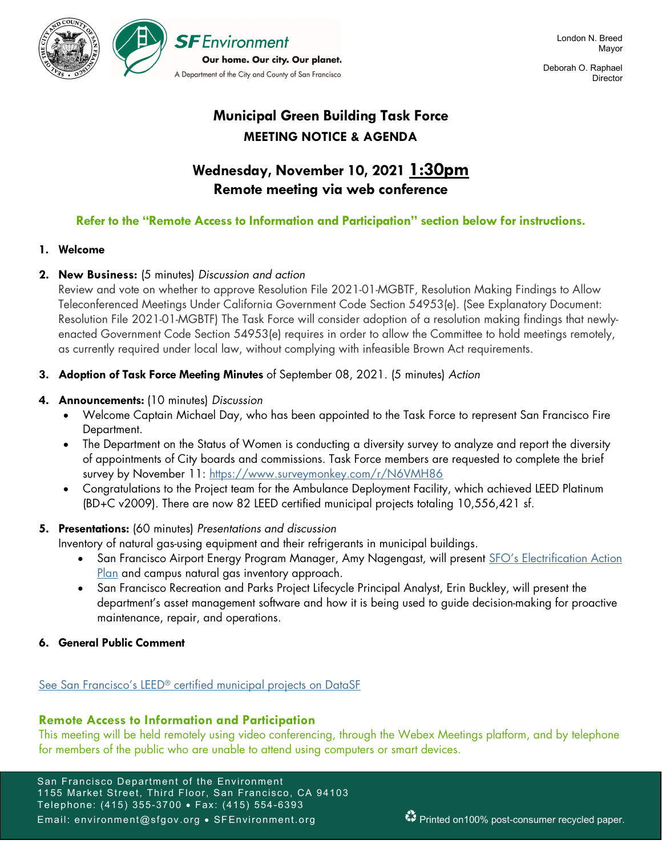

 Deborah O. Raphael **Director** 

# Municipal Green Building Task Force MEETING NOTICE & AGENDA

# Wednesday, November 10, 2021 1:30pm Remote meeting via web conference

# Refer to the "Remote Access to Information and Participation" section below for instructions.

### 1. Welcome

## 2. New Business: (5 minutes) Discussion and action

Review and vote on whether to approve Resolution File 2021-01-MGBTF, Resolution Making Findings to Allow Teleconferenced Meetings Under California Government Code Section 54953(e). (See Explanatory Document: Resolution File 2021-01-MGBTF) The Task Force will consider adoption of a resolution making findings that newlyenacted Government Code Section 54953(e) requires in order to allow the Committee to hold meetings remotely, as currently required under local law, without complying with infeasible Brown Act requirements.

3. Adoption of Task Force Meeting Minutes of September 08, 2021. (5 minutes) Action

## 4. Announcements: (10 minutes) Discussion

- Welcome Captain Michael Day, who has been appointed to the Task Force to represent San Francisco Fire Department.
- The Department on the Status of Women is conducting a diversity survey to analyze and report the diversity of appointments of City boards and commissions. Task Force members are requested to complete the brief survey by November 11: https://www.surveymonkey.com/r/N6VMH86
- Congratulations to the Project team for the Ambulance Deployment Facility, which achieved LEED Platinum (BD+C v2009). There are now 82 LEED certified municipal projects totaling 10,556,421 sf.

# 5. Presentations: (60 minutes) Presentations and discussion

Inventory of natural gas-using equipment and their refrigerants in municipal buildings.

- San Francisco Airport Energy Program Manager, Amy Nagengast, will present SFO's Electrification Action Plan and campus natural gas inventory approach.
- San Francisco Recreation and Parks Project Lifecycle Principal Analyst, Erin Buckley, will present the department's asset management software and how it is being used to guide decision-making for proactive maintenance, repair, and operations.
- 6. General Public Comment

# See San Francisco's LEED<sup>®</sup> certified municipal projects on DataSF

# Remote Access to Information and Participation

This meeting will be held remotely using video conferencing, through the Webex Meetings platform, and by telephone for members of the public who are unable to attend using computers or smart devices.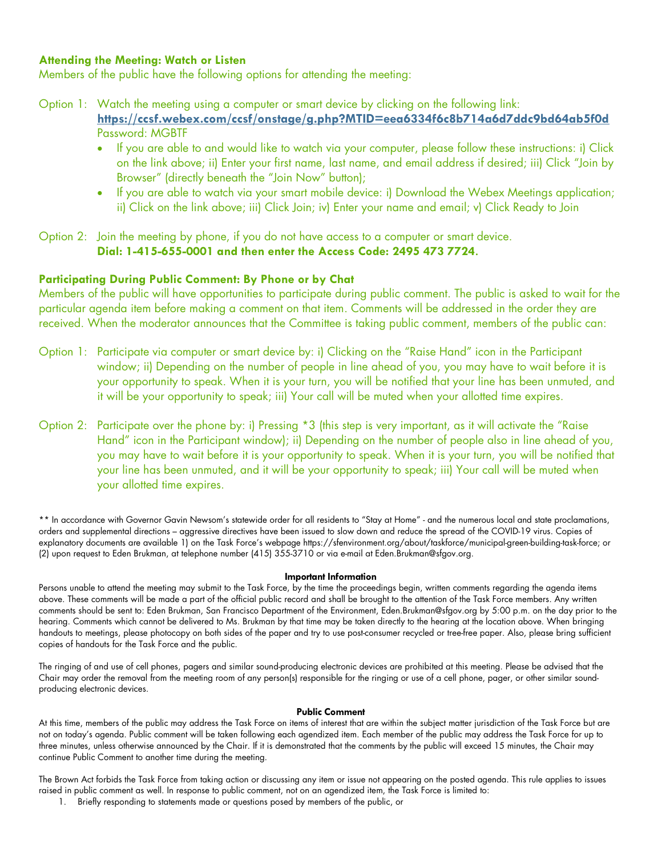### Attending the Meeting: Watch or Listen

Members of the public have the following options for attending the meeting:

- Option 1: Watch the meeting using a computer or smart device by clicking on the following link: https://ccsf.webex.com/ccsf/onstage/g.php?MTID=eea6334f6c8b714a6d7ddc9bd64ab5f0d Password: MGBTF
	- If you are able to and would like to watch via your computer, please follow these instructions: i) Click on the link above; ii) Enter your first name, last name, and email address if desired; iii) Click "Join by Browser" (directly beneath the "Join Now" button);
	- If you are able to watch via your smart mobile device: i) Download the Webex Meetings application; ii) Click on the link above; iii) Click Join; iv) Enter your name and email; v) Click Ready to Join

Option 2: Join the meeting by phone, if you do not have access to a computer or smart device. Dial: 1-415-655-0001 and then enter the Access Code: 2495 473 7724.

### Participating During Public Comment: By Phone or by Chat

Members of the public will have opportunities to participate during public comment. The public is asked to wait for the particular agenda item before making a comment on that item. Comments will be addressed in the order they are received. When the moderator announces that the Committee is taking public comment, members of the public can:

- Option 1: Participate via computer or smart device by: i) Clicking on the "Raise Hand" icon in the Participant window; ii) Depending on the number of people in line ahead of you, you may have to wait before it is your opportunity to speak. When it is your turn, you will be notified that your line has been unmuted, and it will be your opportunity to speak; iii) Your call will be muted when your allotted time expires.
- Option 2: Participate over the phone by: i) Pressing \*3 (this step is very important, as it will activate the "Raise Hand" icon in the Participant window); ii) Depending on the number of people also in line ahead of you, you may have to wait before it is your opportunity to speak. When it is your turn, you will be notified that your line has been unmuted, and it will be your opportunity to speak; iii) Your call will be muted when your allotted time expires.

\*\* In accordance with Governor Gavin Newsom's statewide order for all residents to "Stay at Home" - and the numerous local and state proclamations, orders and supplemental directions – aggressive directives have been issued to slow down and reduce the spread of the COVID-19 virus. Copies of explanatory documents are available 1) on the Task Force's webpage https://sfenvironment.org/about/taskforce/municipal-green-building-task-force; or (2) upon request to Eden Brukman, at telephone number (415) 355-3710 or via e-mail at Eden.Brukman@sfgov.org.

### Important Information

Persons unable to attend the meeting may submit to the Task Force, by the time the proceedings begin, written comments regarding the agenda items above. These comments will be made a part of the official public record and shall be brought to the attention of the Task Force members. Any written comments should be sent to: Eden Brukman, San Francisco Department of the Environment, Eden.Brukman@sfgov.org by 5:00 p.m. on the day prior to the hearing. Comments which cannot be delivered to Ms. Brukman by that time may be taken directly to the hearing at the location above. When bringing handouts to meetings, please photocopy on both sides of the paper and try to use post-consumer recycled or tree-free paper. Also, please bring sufficient copies of handouts for the Task Force and the public.

The ringing of and use of cell phones, pagers and similar sound-producing electronic devices are prohibited at this meeting. Please be advised that the Chair may order the removal from the meeting room of any person(s) responsible for the ringing or use of a cell phone, pager, or other similar soundproducing electronic devices.

### Public Comment

At this time, members of the public may address the Task Force on items of interest that are within the subject matter jurisdiction of the Task Force but are not on today's agenda. Public comment will be taken following each agendized item. Each member of the public may address the Task Force for up to three minutes, unless otherwise announced by the Chair. If it is demonstrated that the comments by the public will exceed 15 minutes, the Chair may continue Public Comment to another time during the meeting.

The Brown Act forbids the Task Force from taking action or discussing any item or issue not appearing on the posted agenda. This rule applies to issues raised in public comment as well. In response to public comment, not on an agendized item, the Task Force is limited to:

1. Briefly responding to statements made or questions posed by members of the public, or